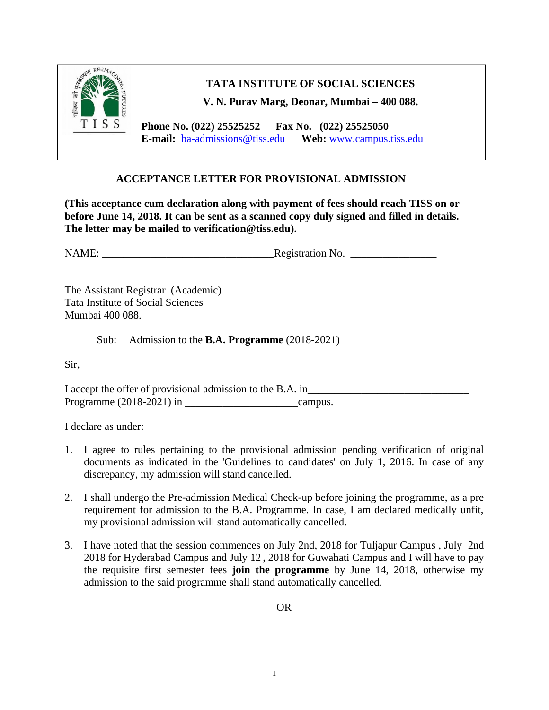

**TATA INSTITUTE OF SOCIAL SCIENCES**

**V. N. Purav Marg, Deonar, Mumbai – 400 088.**

 **Phone No. (022) 25525252 Fax No. (022) 25525050 E-mail:** [ba-admissions@tiss.edu](mailto:ba-admissions@tiss.edu) **Web:** [www.campus.tiss.edu](http://www.campus.tiss.edu/)

## **ACCEPTANCE LETTER FOR PROVISIONAL ADMISSION**

**(This acceptance cum declaration along with payment of fees should reach TISS on or before June 14, 2018. It can be sent as a scanned copy duly signed and filled in details. The letter may be mailed to verification@tiss.edu).**

NAME: Registration No.

The Assistant Registrar (Academic) Tata Institute of Social Sciences Mumbai 400 088.

Sub: Admission to the **B.A. Programme** (2018-2021)

Sir,

I accept the offer of provisional admission to the B.A. in Programme (2018-2021) in \_\_\_\_\_\_\_\_\_\_\_\_\_\_\_\_\_\_\_\_\_campus.

I declare as under:

- 1. I agree to rules pertaining to the provisional admission pending verification of original documents as indicated in the 'Guidelines to candidates' on July 1, 2016. In case of any discrepancy, my admission will stand cancelled.
- 2. I shall undergo the Pre-admission Medical Check-up before joining the programme, as a pre requirement for admission to the B.A. Programme. In case, I am declared medically unfit, my provisional admission will stand automatically cancelled.
- 3. I have noted that the session commences on July 2nd, 2018 for Tuljapur Campus , July 2nd 2018 for Hyderabad Campus and July 12 , 2018 for Guwahati Campus and I will have to pay the requisite first semester fees **join the programme** by June 14, 2018, otherwise my admission to the said programme shall stand automatically cancelled.

OR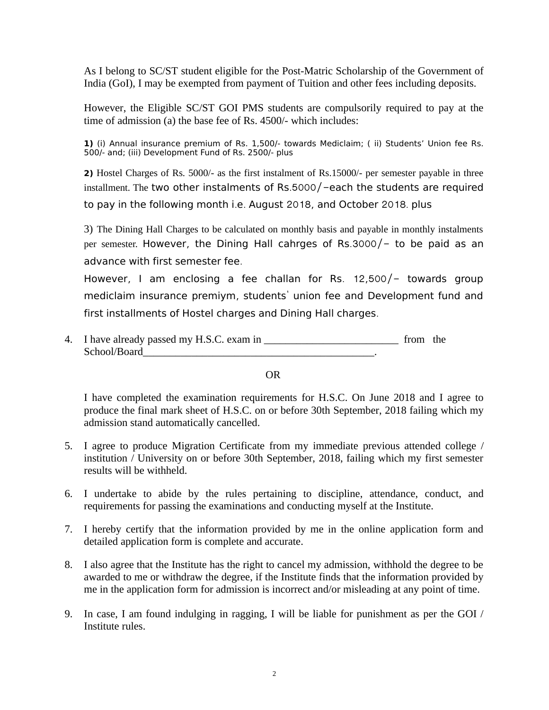As I belong to SC/ST student eligible for the Post-Matric Scholarship of the Government of India (GoI), I may be exempted from payment of Tuition and other fees including deposits.

However, the Eligible SC/ST GOI PMS students are compulsorily required to pay at the time of admission (a) the base fee of Rs. 4500/- which includes:

**1)** (i) Annual insurance premium of Rs. 1,500/- towards Mediclaim; ( ii) Students' Union fee Rs. 500/- and; (iii) Development Fund of Rs. 2500/- plus

**2)** Hostel Charges of Rs. 5000/- as the first instalment of Rs.15000/- per semester payable in three installment. The two other instalments of Rs.5000/ $-$ each the students are required to pay in the following month i.e. August 2018, and October 2018. plus

3) The Dining Hall Charges to be calculated on monthly basis and payable in monthly instalments per semester. However, the Dining Hall cahrges of Rs.3000/ $-$  to be paid as an advance with first semester fee.

However, I am enclosing a fee challan for Rs.  $12,500/-$  towards group mediclaim insurance premiym, students' union fee and Development fund and first installments of Hostel charges and Dining Hall charges.

4. I have already passed my H.S.C. exam in \_\_\_\_\_\_\_\_\_\_\_\_\_\_\_\_\_\_\_\_\_\_\_\_\_ from the School/Board\_\_\_\_\_\_\_\_\_\_\_\_\_\_\_\_\_\_\_\_\_\_\_\_\_\_\_\_\_\_\_\_\_\_\_\_\_\_\_\_\_\_\_.

OR

I have completed the examination requirements for H.S.C. On June 2018 and I agree to produce the final mark sheet of H.S.C. on or before 30th September, 2018 failing which my admission stand automatically cancelled.

- 5. I agree to produce Migration Certificate from my immediate previous attended college / institution / University on or before 30th September, 2018, failing which my first semester results will be withheld.
- 6. I undertake to abide by the rules pertaining to discipline, attendance, conduct, and requirements for passing the examinations and conducting myself at the Institute.
- 7. I hereby certify that the information provided by me in the online application form and detailed application form is complete and accurate.
- 8. I also agree that the Institute has the right to cancel my admission, withhold the degree to be awarded to me or withdraw the degree, if the Institute finds that the information provided by me in the application form for admission is incorrect and/or misleading at any point of time.
- 9. In case, I am found indulging in ragging, I will be liable for punishment as per the GOI / Institute rules.